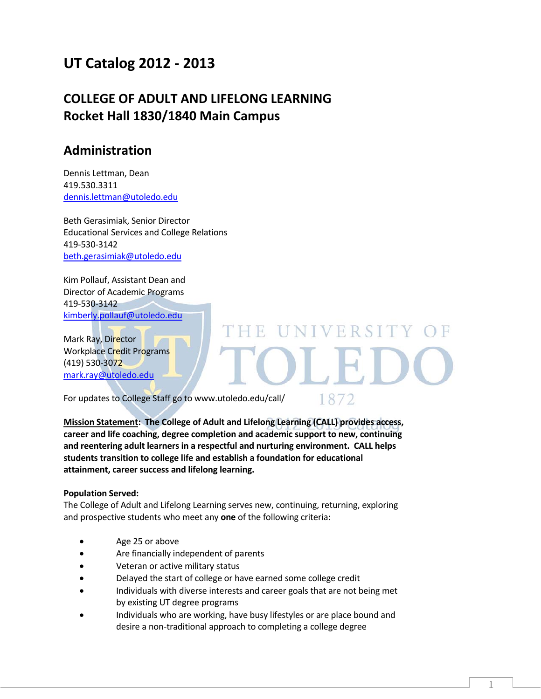# **UT Catalog 2012 ‐ 2013**

# **COLLEGE OF ADULT AND LIFELONG LEARNING Rocket Hall 1830/1840 Main Campus**

# **Administration**

Dennis Lettman, Dean 419.530.3311 dennis.lettman@utoledo.edu

Beth Gerasimiak, Senior Director Educational Services and College Relations 419‐530‐3142 beth.gerasimiak@utoledo.edu

Kim Pollauf, Assistant Dean and Director of Academic Programs 419‐530‐3142 kimberly.pollauf@utoledo.edu

Mark Ray, Director Workplace Credit Programs (419) 530‐3072 mark.ray@utoledo.edu

For updates to College Staff go to www.utoledo.edu/call/

1872

**UNIVERSITY** 

1

**Mission Statement: The College of Adult and Lifelong Learning (CALL) provides access, career and life coaching, degree completion and academic support to new, continuing and reentering adult learners in a respectful and nurturing environment. CALL helps students transition to college life and establish a foundation for educational attainment, career success and lifelong learning.**

H F.

#### **Population Served:**

The College of Adult and Lifelong Learning serves new, continuing, returning, exploring and prospective students who meet any **one** of the following criteria:

- Age 25 or above
- Are financially independent of parents
- Veteran or active military status
- Delayed the start of college or have earned some college credit
- Individuals with diverse interests and career goals that are not being met by existing UT degree programs
- Individuals who are working, have busy lifestyles or are place bound and desire a non‐traditional approach to completing a college degree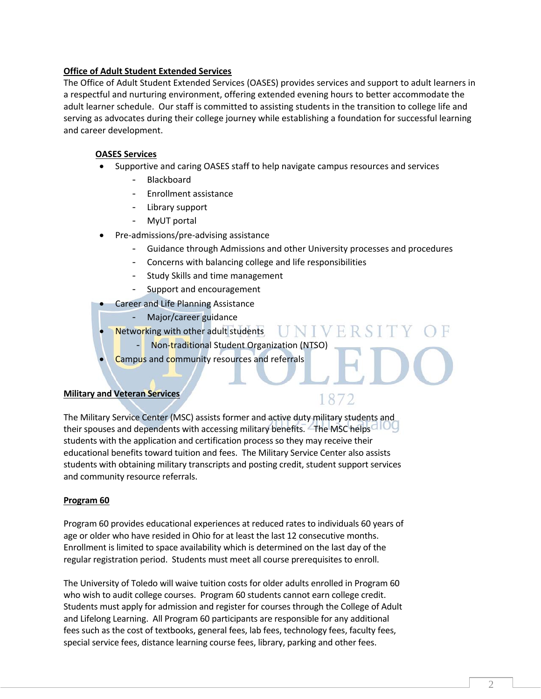#### **Office of Adult Student Extended Services**

The Office of Adult Student Extended Services (OASES) provides services and support to adult learners in a respectful and nurturing environment, offering extended evening hours to better accommodate the adult learner schedule. Our staff is committed to assisting students in the transition to college life and serving as advocates during their college journey while establishing a foundation for successful learning and career development.

## **OASES Services**

- Supportive and caring OASES staff to help navigate campus resources and services
	- **Blackboard**
	- Enrollment assistance
	- Library support
	- MyUT portal
- Pre‐admissions/pre‐advising assistance
	- Guidance through Admissions and other University processes and procedures

UNIVERS

1872

- Concerns with balancing college and life responsibilities
- Study Skills and time management
- Support and encouragement

Career and Life Planning Assistance

- Major/career guidance
- Networking with other adult students
	- Non‐traditional Student Organization (NTSO)
	- Campus and community resources and referrals

#### **Military and Veteran Services**

# The Military Service Center (MSC) assists former and active duty military students and their spouses and dependents with accessing military benefits. The MSC helps students with the application and certification process so they may receive their educational benefits toward tuition and fees. The Military Service Center also assists students with obtaining military transcripts and posting credit, student support services and community resource referrals.

#### **Program 60**

Program 60 provides educational experiences at reduced rates to individuals 60 years of age or older who have resided in Ohio for at least the last 12 consecutive months. Enrollment is limited to space availability which is determined on the last day of the regular registration period. Students must meet all course prerequisites to enroll.

The University of Toledo will waive tuition costs for older adults enrolled in Program 60 who wish to audit college courses. Program 60 students cannot earn college credit. Students must apply for admission and register for courses through the College of Adult and Lifelong Learning. All Program 60 participants are responsible for any additional fees such as the cost of textbooks, general fees, lab fees, technology fees, faculty fees, special service fees, distance learning course fees, library, parking and other fees.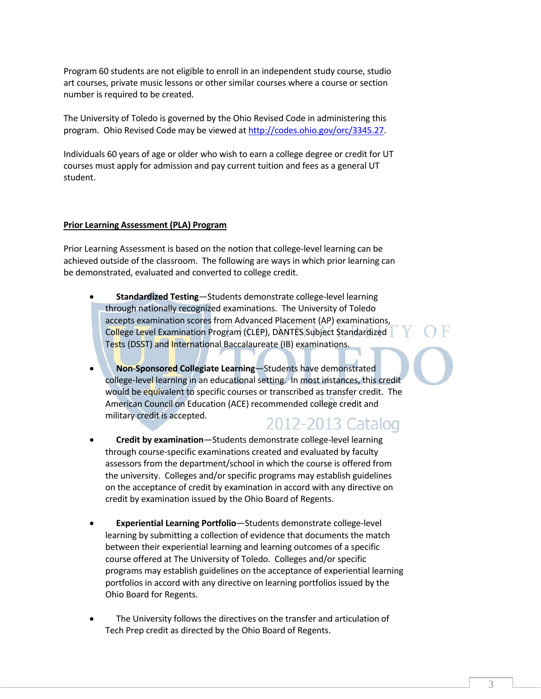Program 60 students are not eligible to enroll in an independent study course, studio art courses, private music lessons or other similar courses where a course or section number is required to be created.

The University of Toledo is governed by the Ohio Revised Code in administering this program. Ohio Revised Code may be viewed at http://codes.ohio.gov/orc/3345.27.

Individuals 60 years of age or older who wish to earn a college degree or credit for UT courses must apply for admission and pay current tuition and fees as a general UT student.

#### **Prior Learning Assessment (PLA) Program**

Prior Learning Assessment is based on the notion that college‐level learning can be achieved outside of the classroom. The following are ways in which prior learning can be demonstrated, evaluated and converted to college credit.

- **Standardized Testing**—Students demonstrate college‐level learning through nationally recognized examinations. The University of Toledo accepts examination scores from Advanced Placement (AP) examinations, College Level Examination Program (CLEP), DANTES Subject Standardized Tests (DSST) and International Baccalaureate (IB) examinations.
- **Non**‐**Sponsored Collegiate Learning**—Students have demonstrated college-level learning in an educational setting. In most instances, this credit would be equivalent to specific courses or transcribed as transfer credit. The American Council on Education (ACE) recommended college credit and military credit is accepted.
	- 2012-2013 Catalog **Credit by examination**—Students demonstrate college‐level learning
- through course‐specific examinations created and evaluated by faculty assessors from the department/school in which the course is offered from the university. Colleges and/or specific programs may establish guidelines on the acceptance of credit by examination in accord with any directive on credit by examination issued by the Ohio Board of Regents.
- **Experiential Learning Portfolio**—Students demonstrate college‐level learning by submitting a collection of evidence that documents the match between their experiential learning and learning outcomes of a specific course offered at The University of Toledo. Colleges and/or specific programs may establish guidelines on the acceptance of experiential learning portfolios in accord with any directive on learning portfolios issued by the Ohio Board for Regents.
- The University follows the directives on the transfer and articulation of Tech Prep credit as directed by the Ohio Board of Regents.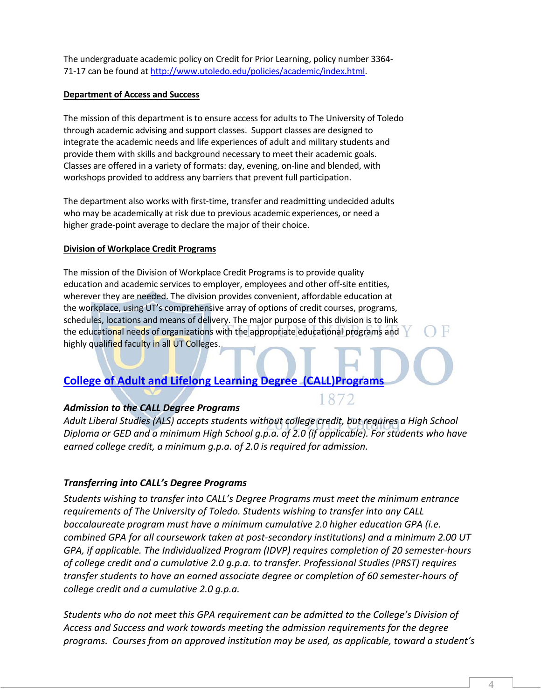The undergraduate academic policy on Credit for Prior Learning, policy number 3364‐ 71-17 can be found at http://www.utoledo.edu/policies/academic/index.html.

## **Department of Access and Success**

The mission of this department is to ensure access for adults to The University of Toledo through academic advising and support classes. Support classes are designed to integrate the academic needs and life experiences of adult and military students and provide them with skills and background necessary to meet their academic goals. Classes are offered in a variety of formats: day, evening, on‐line and blended, with workshops provided to address any barriers that prevent full participation.

The department also works with first-time, transfer and readmitting undecided adults who may be academically at risk due to previous academic experiences, or need a higher grade‐point average to declare the major of their choice.

## **Division of Workplace Credit Programs**

The mission of the Division of Workplace Credit Programs is to provide quality education and academic services to employer, employees and other off‐site entities, wherever they are needed. The division provides convenient, affordable education at the workplace, using UT's comprehensive array of options of credit courses, programs, schedules, locations and means of delivery. The major purpose of this division is to link the educational needs of organizations with the appropriate educational programs and highly qualified faculty in all UT Colleges.

# **College of Adult and Lifelong Learning Degree (CALL)Programs**

# *Admission to the CALL Degree Programs*

*Adult Liberal Studies (ALS) accepts students without college credit, but requires a High School Diploma or GED and a minimum High School g.p.a. of 2.0 (if applicable). For students who have earned college credit, a minimum g.p.a. of 2.0 is required for admission.*

# *Transferring into CALL's Degree Programs*

*Students wishing to transfer into CALL's Degree Programs must meet the minimum entrance requirements of The University of Toledo. Students wishing to transfer into any CALL baccalaureate program must have a minimum cumulative 2.0 higher education GPA (i.e. combined GPA for all coursework taken at post‐secondary institutions) and a minimum 2.00 UT GPA, if applicable. The Individualized Program (IDVP) requires completion of 20 semester‐hours of college credit and a cumulative 2.0 g.p.a. to transfer. Professional Studies (PRST) requires transfer students to have an earned associate degree or completion of 60 semester‐hours of college credit and a cumulative 2.0 g.p.a.* 

*Students who do not meet this GPA requirement can be admitted to the College's Division of Access and Success and work towards meeting the admission requirements for the degree programs. Courses from an approved institution may be used, as applicable, toward a student's*

4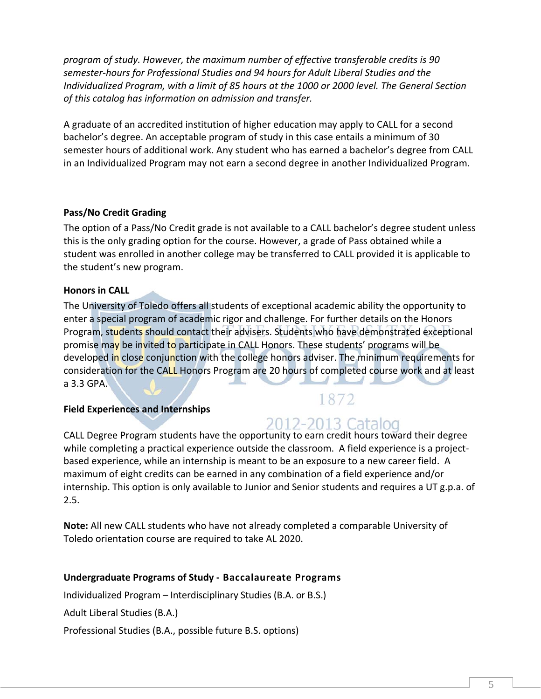*program of study. However, the maximum number of effective transferable credits is 90 semester‐hours for Professional Studies and 94 hours for Adult Liberal Studies and the Individualized Program, with a limit of 85 hours at the 1000 or 2000 level. The General Section of this catalog has information on admission and transfer.*

A graduate of an accredited institution of higher education may apply to CALL for a second bachelor's degree. An acceptable program of study in this case entails a minimum of 30 semester hours of additional work. Any student who has earned a bachelor's degree from CALL in an Individualized Program may not earn a second degree in another Individualized Program.

# **Pass/No Credit Grading**

The option of a Pass/No Credit grade is not available to a CALL bachelor's degree student unless this is the only grading option for the course. However, a grade of Pass obtained while a student was enrolled in another college may be transferred to CALL provided it is applicable to the student's new program.

# **Honors in CALL**

The University of Toledo offers all students of exceptional academic ability the opportunity to enter a special program of academic rigor and challenge. For further details on the Honors Program, students should contact their advisers. Students who have demonstrated exceptional promise may be invited to participate in CALL Honors. These students' programs will be developed in close conjunction with the college honors adviser. The minimum requirements for consideration for the CALL Honors Program are 20 hours of completed course work and at least a 3.3 GPA.

# **Field Experiences and Internships**

# 2012-2013 Catalog

1872

CALL Degree Program students have the opportunity to earn credit hours toward their degree while completing a practical experience outside the classroom. A field experience is a projectbased experience, while an internship is meant to be an exposure to a new career field. A maximum of eight credits can be earned in any combination of a field experience and/or internship. This option is only available to Junior and Senior students and requires a UT g.p.a. of 2.5.

**Note:** All new CALL students who have not already completed a comparable University of Toledo orientation course are required to take AL 2020.

# **Undergraduate Programs of Study ‐ Baccalaureate Programs**

Individualized Program – Interdisciplinary Studies (B.A. or B.S.)

Adult Liberal Studies (B.A.)

Professional Studies (B.A., possible future B.S. options)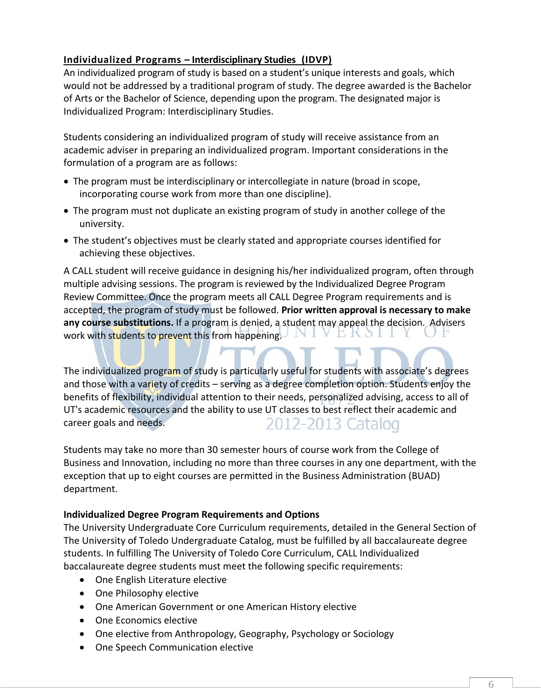# **Individualized Programs – Interdisciplinary Studies (IDVP)**

An individualized program of study is based on a student's unique interests and goals, which would not be addressed by a traditional program of study. The degree awarded is the Bachelor of Arts or the Bachelor of Science, depending upon the program. The designated major is Individualized Program: Interdisciplinary Studies.

Students considering an individualized program of study will receive assistance from an academic adviser in preparing an individualized program. Important considerations in the formulation of a program are as follows:

- The program must be interdisciplinary or intercollegiate in nature (broad in scope, incorporating course work from more than one discipline).
- The program must not duplicate an existing program of study in another college of the university.
- The student's objectives must be clearly stated and appropriate courses identified for achieving these objectives.

A CALL student will receive guidance in designing his/her individualized program, often through multiple advising sessions. The program is reviewed by the Individualized Degree Program Review Committee. Once the program meets all CALL Degree Program requirements and is accepted, the program of study must be followed. **Prior written approval is necessary to make any course substitutions.** If a program is denied, a student may appeal the decision. Advisers work with students to prevent this from happening.

The individualized program of study is particularly useful for students with associate's degrees and those with a variety of credits – serving as a degree completion option. Students enjoy the benefits of flexibility, individual attention to their needs, personalized advising, access to all of UT's academic resources and the ability to use UT classes to best reflect their academic and 2012-2013 Catalog career goals and needs.

Students may take no more than 30 semester hours of course work from the College of Business and Innovation, including no more than three courses in any one department, with the exception that up to eight courses are permitted in the Business Administration (BUAD) department.

# **Individualized Degree Program Requirements and Options**

The University Undergraduate Core Curriculum requirements, detailed in the General Section of The University of Toledo Undergraduate Catalog, must be fulfilled by all baccalaureate degree students. In fulfilling The University of Toledo Core Curriculum, CALL Individualized baccalaureate degree students must meet the following specific requirements:

- One English Literature elective
- One Philosophy elective
- One American Government or one American History elective
- One Economics elective
- One elective from Anthropology, Geography, Psychology or Sociology
- One Speech Communication elective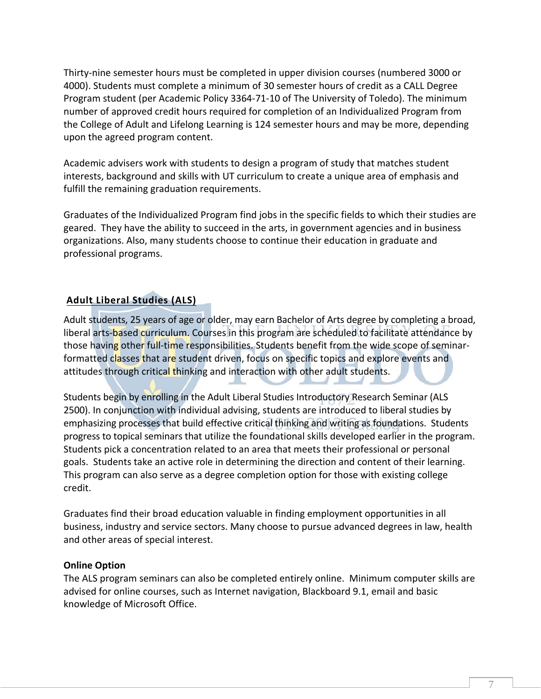Thirty‐nine semester hours must be completed in upper division courses (numbered 3000 or 4000). Students must complete a minimum of 30 semester hours of credit as a CALL Degree Program student (per Academic Policy 3364‐71‐10 of The University of Toledo). The minimum number of approved credit hours required for completion of an Individualized Program from the College of Adult and Lifelong Learning is 124 semester hours and may be more, depending upon the agreed program content.

Academic advisers work with students to design a program of study that matches student interests, background and skills with UT curriculum to create a unique area of emphasis and fulfill the remaining graduation requirements.

Graduates of the Individualized Program find jobs in the specific fields to which their studies are geared. They have the ability to succeed in the arts, in government agencies and in business organizations. Also, many students choose to continue their education in graduate and professional programs.

# **Adult Liberal Studies (ALS)**

Adult students, 25 years of age or older, may earn Bachelor of Arts degree by completing a broad, liberal arts-based curriculum. Courses in this program are scheduled to facilitate attendance by those having other full-time responsibilities. Students benefit from the wide scope of seminarformatted classes that are student driven, focus on specific topics and explore events and attitudes through critical thinking and interaction with other adult students.

Students begin by enrolling in the Adult Liberal Studies Introductory Research Seminar (ALS 2500). In conjunction with individual advising, students are introduced to liberal studies by emphasizing processes that build effective critical thinking and writing as foundations. Students progress to topical seminars that utilize the foundational skills developed earlier in the program. Students pick a concentration related to an area that meets their professional or personal goals. Students take an active role in determining the direction and content of their learning. This program can also serve as a degree completion option for those with existing college credit.

Graduates find their broad education valuable in finding employment opportunities in all business, industry and service sectors. Many choose to pursue advanced degrees in law, health and other areas of special interest.

# **Online Option**

The ALS program seminars can also be completed entirely online. Minimum computer skills are advised for online courses, such as Internet navigation, Blackboard 9.1, email and basic knowledge of Microsoft Office.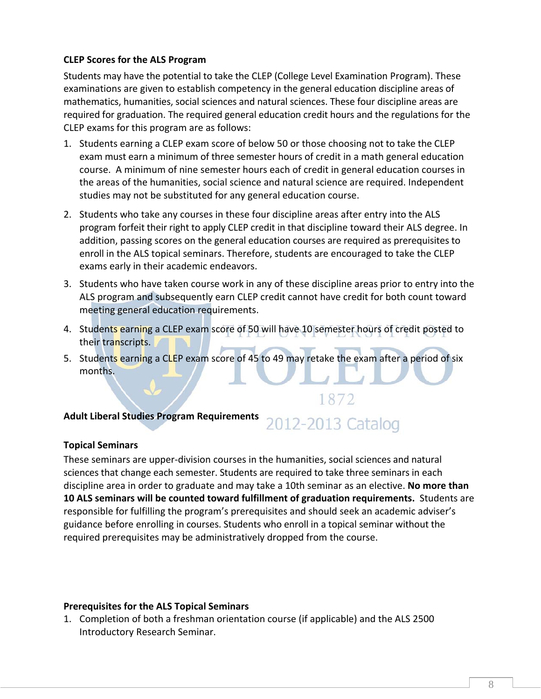# **CLEP Scores for the ALS Program**

Students may have the potential to take the CLEP (College Level Examination Program). These examinations are given to establish competency in the general education discipline areas of mathematics, humanities, social sciences and natural sciences. These four discipline areas are required for graduation. The required general education credit hours and the regulations for the CLEP exams for this program are as follows:

- 1. Students earning a CLEP exam score of below 50 or those choosing not to take the CLEP exam must earn a minimum of three semester hours of credit in a math general education course. A minimum of nine semester hours each of credit in general education courses in the areas of the humanities, social science and natural science are required. Independent studies may not be substituted for any general education course.
- 2. Students who take any courses in these four discipline areas after entry into the ALS program forfeit their right to apply CLEP credit in that discipline toward their ALS degree. In addition, passing scores on the general education courses are required as prerequisites to enroll in the ALS topical seminars. Therefore, students are encouraged to take the CLEP exams early in their academic endeavors.
- 3. Students who have taken course work in any of these discipline areas prior to entry into the ALS program and subsequently earn CLEP credit cannot have credit for both count toward meeting general education requirements.
- 4. Students earning a CLEP exam score of 50 will have 10 semester hours of credit posted to their transcripts.
- 5. Students earning a CLEP exam score of 45 to 49 may retake the exam after a period of six months.

# **Adult Liberal Studies Program Requirements**

# 2012-2013 Catalog

1872

# **Topical Seminars**

These seminars are upper‐division courses in the humanities, social sciences and natural sciences that change each semester. Students are required to take three seminars in each discipline area in order to graduate and may take a 10th seminar as an elective. **No more than 10 ALS seminars will be counted toward fulfillment of graduation requirements.** Students are responsible for fulfilling the program's prerequisites and should seek an academic adviser's guidance before enrolling in courses. Students who enroll in a topical seminar without the required prerequisites may be administratively dropped from the course.

# **Prerequisites for the ALS Topical Seminars**

1. Completion of both a freshman orientation course (if applicable) and the ALS 2500 Introductory Research Seminar.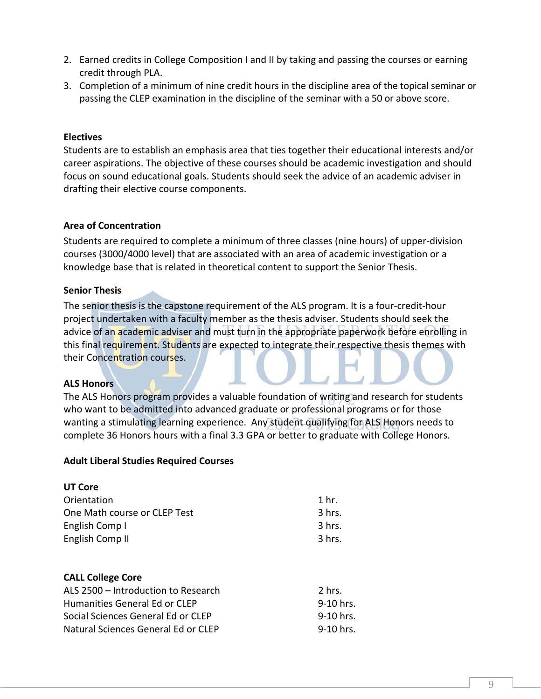- 2. Earned credits in College Composition I and II by taking and passing the courses or earning credit through PLA.
- 3. Completion of a minimum of nine credit hours in the discipline area of the topical seminar or passing the CLEP examination in the discipline of the seminar with a 50 or above score.

## **Electives**

Students are to establish an emphasis area that ties together their educational interests and/or career aspirations. The objective of these courses should be academic investigation and should focus on sound educational goals. Students should seek the advice of an academic adviser in drafting their elective course components.

## **Area of Concentration**

Students are required to complete a minimum of three classes (nine hours) of upper‐division courses (3000/4000 level) that are associated with an area of academic investigation or a knowledge base that is related in theoretical content to support the Senior Thesis.

## **Senior Thesis**

The senior thesis is the capstone requirement of the ALS program. It is a four-credit-hour project undertaken with a faculty member as the thesis adviser. Students should seek the advice of an academic adviser and must turn in the appropriate paperwork before enrolling in this final requirement. Students are expected to integrate their respective thesis themes with their Concentration courses.

#### **ALS Honors**

The ALS Honors program provides a valuable foundation of writing and research for students who want to be admitted into advanced graduate or professional programs or for those wanting a stimulating learning experience. Any student qualifying for ALS Honors needs to complete 36 Honors hours with a final 3.3 GPA or better to graduate with College Honors.

#### **Adult Liberal Studies Required Courses**

| 1 hr.    |
|----------|
| 3 hrs.   |
| 3 hrs.   |
| $3$ hrs. |
|          |

#### **CALL College Core**

| ALS 2500 – Introduction to Research | 2 hrs.      |
|-------------------------------------|-------------|
| Humanities General Ed or CLEP       | 9-10 hrs.   |
| Social Sciences General Ed or CLEP  | $9-10$ hrs. |
| Natural Sciences General Ed or CLEP | 9-10 hrs.   |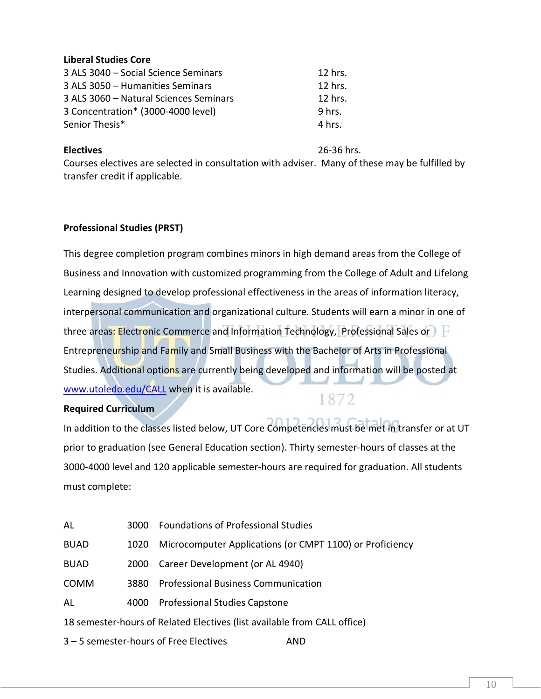# **Liberal Studies Core**

| 3 ALS 3040 - Social Science Seminars   | 12 hrs. |
|----------------------------------------|---------|
| 3 ALS 3050 - Humanities Seminars       | 12 hrs. |
| 3 ALS 3060 - Natural Sciences Seminars | 12 hrs. |
| 3 Concentration* (3000-4000 level)     | 9 hrs.  |
| Senior Thesis*                         | 4 hrs.  |

**Electives** 26‐36 hrs.

Courses electives are selected in consultation with adviser. Many of these may be fulfilled by transfer credit if applicable.

# **Professional Studies (PRST)**

This degree completion program combines minors in high demand areas from the College of Business and Innovation with customized programming from the College of Adult and Lifelong Learning designed to develop professional effectiveness in the areas of information literacy, interpersonal communication and organizational culture. Students will earn a minor in one of three areas: Electronic Commerce and Information Technology, Professional Sales or Entrepreneurship and Family and Small Business with the Bachelor of Arts in Professional Studies. Additional options are currently being developed and information will be posted at www.utoledo.edu/CALL when it is available.

# **Required Curriculum**

# 1872

In addition to the classes listed below, UT Core Competencies must be met in transfer or at UT prior to graduation (see General Education section). Thirty semester‐hours of classes at the 3000‐4000 level and 120 applicable semester‐hours are required for graduation. All students must complete:

| AL                                                                       | 3000 | <b>Foundations of Professional Studies</b>               |
|--------------------------------------------------------------------------|------|----------------------------------------------------------|
| <b>BUAD</b>                                                              | 1020 | Microcomputer Applications (or CMPT 1100) or Proficiency |
| <b>BUAD</b>                                                              | 2000 | Career Development (or AL 4940)                          |
| <b>COMM</b>                                                              | 3880 | <b>Professional Business Communication</b>               |
| AL                                                                       | 4000 | <b>Professional Studies Capstone</b>                     |
| 18 semester-hours of Related Electives (list available from CALL office) |      |                                                          |
|                                                                          |      |                                                          |

3 – 5 semester‐hours of Free Electives AND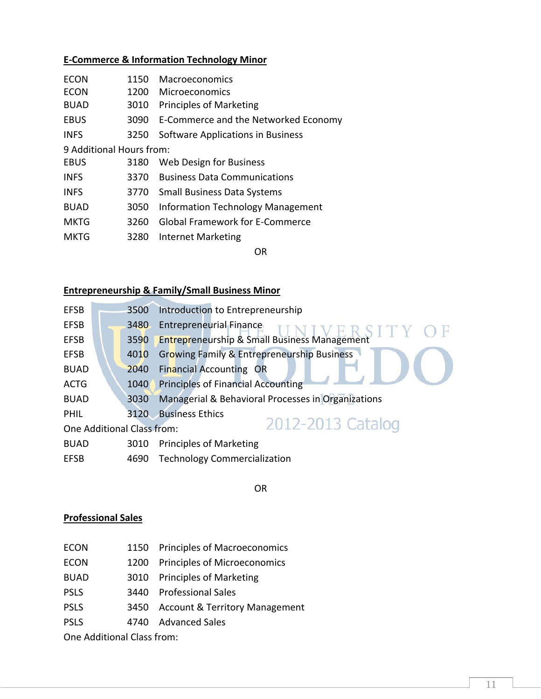# **E‐Commerce & Information Technology Minor**

| <b>ECON</b>              | 1150 | <b>Macroeconomics</b>                     |  |  |
|--------------------------|------|-------------------------------------------|--|--|
| <b>ECON</b>              | 1200 | Microeconomics                            |  |  |
| <b>BUAD</b>              | 3010 | <b>Principles of Marketing</b>            |  |  |
| <b>EBUS</b>              |      | 3090 E-Commerce and the Networked Economy |  |  |
| <b>INFS</b>              | 3250 | Software Applications in Business         |  |  |
| 9 Additional Hours from: |      |                                           |  |  |
| <b>EBUS</b>              | 3180 | Web Design for Business                   |  |  |
| <b>INFS</b>              | 3370 | <b>Business Data Communications</b>       |  |  |
| <b>INFS</b>              | 3770 | <b>Small Business Data Systems</b>        |  |  |
| <b>BUAD</b>              | 3050 | Information Technology Management         |  |  |

- MKTG 3260 Global Framework for E-Commerce
- MKTG 3280 Internet Marketing

OR

# **Entrepreneurship & Family/Small Business Minor**

| <b>EFSB</b>                                     |  | 3500 | Introduction to Entrepreneurship                        |
|-------------------------------------------------|--|------|---------------------------------------------------------|
| <b>EFSB</b>                                     |  | 3480 | Entrepreneurial Finance                                 |
| <b>EFSB</b>                                     |  | 3590 | <b>Entrepreneurship &amp; Small Business Management</b> |
| <b>EFSB</b>                                     |  | 4010 | <b>Growing Family &amp; Entrepreneurship Business</b>   |
| <b>BUAD</b>                                     |  | 2040 | <b>Financial Accounting OR</b>                          |
| <b>ACTG</b>                                     |  | 1040 | <b>Principles of Financial Accounting</b>               |
| <b>BUAD</b>                                     |  | 3030 | Managerial & Behavioral Processes in Organizations      |
| <b>PHIL</b>                                     |  | 3120 | <b>Business Ethics</b>                                  |
| 2012-2013 Catalog<br>One Additional Class from: |  |      |                                                         |
| <b>BUAD</b>                                     |  | 3010 | <b>Principles of Marketing</b>                          |
| <b>EFSB</b>                                     |  | 4690 | <b>Technology Commercialization</b>                     |

**OR** STREET AND THE STREET AND THE STREET AND THE STREET AND THE STREET AND THE STREET AND THE STREET AND THE ST

#### **Professional Sales**

- ECON 1150 Principles of Macroeconomics
- ECON 1200 Principles of Microeconomics
- BUAD 3010 Principles of Marketing
- PSLS 3440 Professional Sales
- PSLS 3450 Account & Territory Management
- PSLS 4740 Advanced Sales

One Additional Class from: